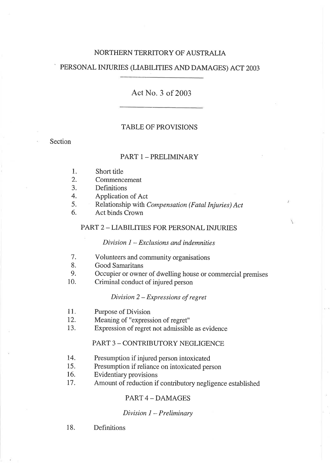#### NORTHERN TERRITORY OF AUSTRALIA

#### PERSONAL INJURIES (LIABILITIES AND DAMAGES) ACT 2003

### Act No. 3 of 2003

#### TABLE OF PROVISIONS

**Section** 

#### PART 1 - PRELIMINARY

- Short title 1.
- Commencement 2.
- **Definitions** 3.
- Application of Act 4.
- Relationship with Compensation (Fatal Injuries) Act 5.
- Act binds Crown 6.

#### PART 2 - LIABILITIES FOR PERSONAL INJURIES

#### $Division I - Exclusions and in *d*$

- Volunteers and community organisations 7.
- Good Samaritans 8.
- Occupier or owner of dwelling house or commercial premises 9.

Ŷ.

Criminal conduct of injured person  $10.$ 

#### Division 2 - Expressions of regret

- 11. Purpose of Division
- 12. Meaning of "expression of regret"
- 13. Expression of regret not admissible as evidence

#### PART 3 - CONTRIBUTORY NEGLIGENCE

- Presumption if injured person intoxicated 14.
- Presumption if reliance on intoxicated person 15.
- Evidentiary provisions 16.
- Amount of reduction if contributory negligence established 17.

#### PART 4 - DAMAGES

#### Division  $1$  – Preliminary

18. Definitions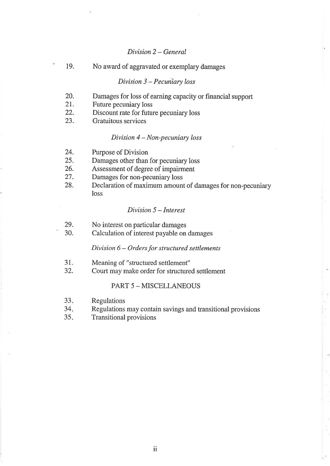#### Division 2 - General

19. No award of aggravated or exemplary damages

#### $Division 3 - Pecuniary loss$

- 20. Damages for loss of earning capacity or financial support
- 2r. Future pecuniary loss
- 22. Discount rate for future pecuniary loss
- 23. Gratuitous services

#### Division 4 - Non-pecuniary loss

- 24. Purpose of Division
- 25. Damages other than for pecuniary loss
- 26. Assessment of degree of impairment
- 27. Damages for non-pecuniary loss
- 28. Declaration of maximum amount of damages for non-pecuniary loss

#### Division 5 - Interest

- 29. No interest on particular damages
- 30. Calculation of interest payable on damages

#### $Division 6 - Orders for structured settlements$

- 31. Meaning of "structured settlement"
- 32. Court may make order for structured settlement

#### PART 5 - MISCELLANEOUS

- Regulations  $33.$
- Regulations may contain savings and transitional provisions 34
- Transitional provisions  $35.$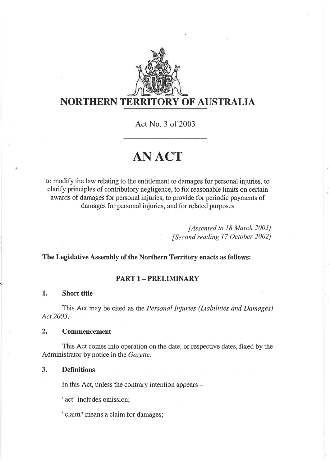

## NORTHERN TERRITORY OF AUSTRALIA

ActNo. 3 of 2003

# ANACT

to modify the law relating to the entitlement to damages for personal injuries, to clarify principles of contributory negligence, to fix reasonable limits on certain awards of damages for personal injuries, to provide for periodic payments of damages for personal injuries, and for related purposes

> [Assented to 18 March 2003] [Second reading ]7 October 2002J

The Legislative Assembly of the Northern Territory enacts as follows:

### PART 1- PRELIMINARY

#### 1. Short title

This Act may be cited as the Personal Injuries (Liabilities and Damages) Act 2003.

#### 2, Commencement

This Act comes into operation on the date, or respective dates, fixed by the Administrator by notice in the Gazette.

#### 3. Definitions

In this Act, unless the contrary intention appears -

"act" includes omission;

"claim" means a claim for damages;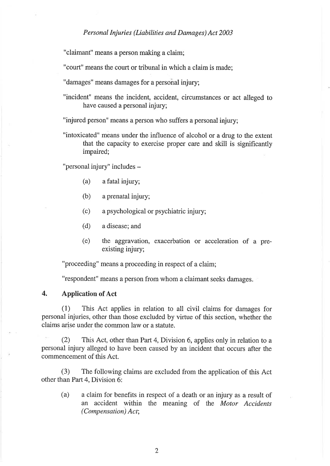"claimant" means a person making a claim;

"court" means the court or tribunal in which a claim is made;

"damages" means damages for a personal injury;

"incident" means the incident, accident, circumstances or act alleged to have caused a personal injury;

"injured person" means a person who suffers a personal injury;

"intoxicated" means under the influence of alcohol or a drug to the extent that the capacity to exercise proper care and skill is significantly impaired;

"personal injury" includes -

- (a) a fatal injury;
- (b) a prenatal injury;
- (c) a psychological or psychiatric injury;
- (d) a disease; and
- (e) the aggravation, exacerbation or acceleration of a preexisting injury;

"proceeding" means a proceeding in respect of a claim;

"respondent" means a person from whom a claimant seeks damages.

#### 4. Application of Act

(1) This Act applies in relation to all civil claims for damages for personal injuries, other than those excluded by virtue of this section, whether the claims arise under the common law or a statute.

(2) This Act, other than Part 4, Division 6, applies only in relation to <sup>a</sup> personal injury alleged to have been caused by an incident that occurs after the commencement of this Act.

(3) The following claims are excluded from the application of this Act other than Parf 4, Division 6:

(a) a claim for benefits in respect of a death or an injury as a result of an accident within the meaning of the Motor Accidents (Compensation) Act;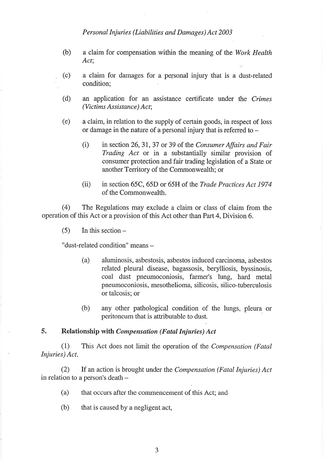- (b) a claim for compensation within the meaning of the Work Health Act;
- (c) a claim for damages for a personal injury that is a dust-related condition;
- (d) an application for an assistance certificate under the Crimes (Victims Assistance ) Act;
- (e) a claim, in relation to the supply of certain goods, in respect of loss or damage in the nature of a personal injury that is referred to  $-$ 
	- (i) in section 26, 31, 37 or 39 of the Consumer Affairs and Fair Trading Act or in a substantially similar provision of consumer protection and fair trading legislation of a State or another Territory of the Commonwealth; or
	- (ii) in section 65C, 65D or 65H of the Trade Practices Act 1974 of the Commonwealth.

(4) The Regulations may exclude a claim or class of claim from the operation of this Act or a provision of this Act other than Part 4, Division 6.

 $(5)$  In this section –

"dust-related condition" means -

- (a) aluminosis, asbestosis, asbestos induced carcinoma, asbestos related pleural disease, bagassosis, berylliosis, byssinosis, coal dust pneumoconiosis, farmer's lung, hard metal pneumoconiosis, mesothelioma, silicosis, silico-tuberculosis or talcosis; or
- (b) any other pathological condition of the lungs, pleura or peritoneum that is attributable to dust.

#### 5. Relationship with Compensation (Fatal Injuries) Act

(1) This Act does not limit the operation of the Compensation (Fatal Injuries) Act.

(2) If an action is brought under the *Compensation (Fatal Injuries)*  $Act$ in relation to a person's death  $-$ 

- (a) that occurs after the commencement of this Act; and
- (b) that is caused by a negligent act,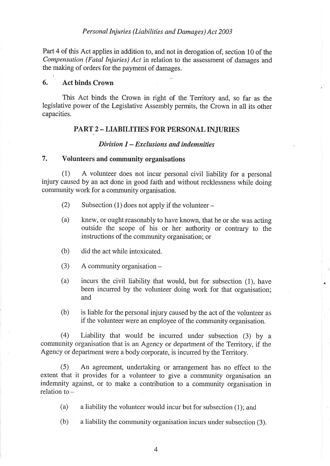Part 4 of this Act applies in addition to, and not in derogation of, section 10 of the Compensation (Fatal Injuries) Act in relation to the assessment of damages and the making of orders for the payment of damages.

#### 6. Act binds Crown

This Act binds the Crown in right of the Territory and, so far as the legislative power of the Legislative Assembly permits, the Crown in all its other capacities.

#### PART 2 - LIABILITIES FOR PERSONAL INJURIES

#### Division  $I - Exclusions$  and indemnities

#### 7. Volunteers and community organisations

(1) A volunteer does not incur personal civil liability for a personal injury caused by an act done in good faith and without recklessness while doing community work for a community organisation.

- (2) Subsection (1) does not apply if the volunteer  $-$
- (a) knew, or ought reasonably to have known, that he or she was acting outside the scope of his or her authority or contrary to the instructions of the community organisation; or
- (b) did the act while intoxicated.
- (3) A community organisation -
- (a) incurs the civil liability that would, but for subsection (1), have been incurred by the volunteer doing work for that organisation; and
- (b) is liable for the personal injury caused by the act of the volunteer as if the volunteer were an employee of the community organisation.

(4) Liability that would be incurred under subsection (3) by <sup>a</sup> community organisation that is an Agency or department of the Territory, if the Agency or department were a body corporate, is incurred by the Territory.

(5) An agreement, undertaking or arrangement has no effect to the extent that it provides for a volunteer to give a community organisation an indemnity against, or to make a contribution to a community organisation in relation to  $-$ 

(a) a liability the volunteer would incur but for subsection (1); and

(b) a liability the community organisation incurs under subsection (3).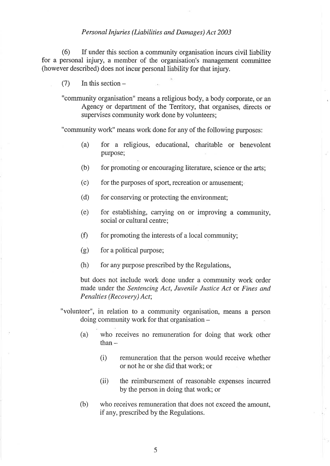(6) If under this section a community organisation incurs civil liability for a personal injury, a member of the organisation's management committee (however described) does not incur personal liability for that injury.

 $(7)$  In this section –

"community organisation" means a religious body, a body corporate, or an Agency or department of the Territory, that organises, directs or supervises community work done by volunteers;

"community work" means work done for any of the following purposes:

- (a) for a religious, educational, charitable or benevolent purpose;
- (b) for promoting or encouraging literature, science or the arts;
- $(c)$  for the purposes of sport, recreation or amusement;
- (d) for conserving or protecting the environment;
- (e) for establishing, carrying on or improving a community, social or cultural centre;
- $(f)$  for promoting the interests of a local community;
- (g) for a political purpose;
- $(h)$  for any purpose prescribed by the Regulations,

but does not include work done under a community work order made under the Sentencing Act, Juvenile Justice Act or Fines and Penalties (Recovery) Act;

- "volunteer", in relation to a community organisation, means a person doing community work for that organisation -
	- (a) who receives no remuneration for doing that work other  $than -$ 
		- (i) remuneration that the person would receive whether or not he or she did that work; or
		- (ii) the reimbursement of reasonable expenses incurred by the person in doing that work; or
	- (b) who receives remuneration that does not exceed the amount, if any, prescribed by the Regulations.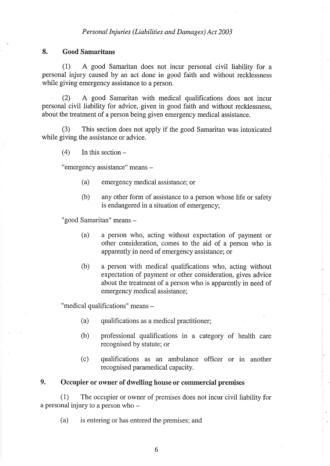#### 8. Good Samaritans

(1) A good Samaritan does not incur personal civil liability for <sup>a</sup> personal injury caused by an act done in good faith and without recklessness while giving emergency assistance to a person.

(2) A good Samaritan with medical qualifications does not incur personal civil liability for advice, given in good faith and without recklessness, about the treatment of a person being given emergency medical assistance.

(3) This section does not apply if the good Samaritan was intoxicated while giving the assistance or advice.

 $(4)$  In this section  $-$ 

"emergency assistance" means -

- (a) emergency medical assistance; or
- (b) any other form of assistance to a person whose life or safety is endangered in a situation of emergency;

"good Samaritan" means -

- (a) a person who, acting without expectation of payment or other consideration, comes to the aid of a person who is apparently in need of emergency assistance; or
- (b) a person with medical qualifications who, acting without expectation of payment or other consideration, gives advice about the treatment of a person who is apparently in need of emergency medical assistance;

"medical qualifications" means -

- (a) qualifications as a medical practitioner;
- (b) professional qualifications in a category of health care recognised by statute; or
- (c) qualifications as an ambulance officer or in another recognised paramedical capacity.

#### 9. Occupier or owner of dwelling house or commercial premises

(1) The occupier or owner of premises does not incur civil liability for a personal injury to a person who -

(a) is entering or has entered the premises; and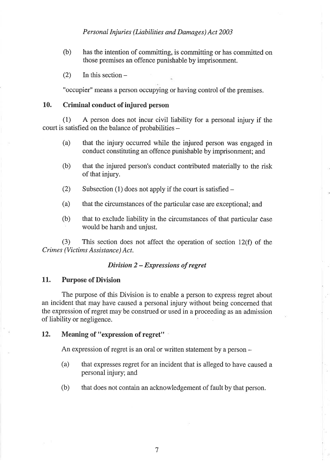- (b) has the intention of committing, is committing or has committed on those premises an offence punishable by imprisonment.
- $(2)$  In this section –

"occupier" means a person occupying or having control of the premises.

#### 10. Criminal conduct of injured person

(1) A person does not incur civil liability for a personal injury if the court is satisfied on the balance of probabilities -

- (a) that the injury occurred while the injured person was engaged in conduct constituting an offence punishable by imprisonment; and
- (b) that the injured person's conduct contributed materially to the risk of that injury.
- (2) Subsection (1) does not apply if the court is satisfied  $-$
- (a) that the circumstances of the particular case are exceptional; and
- (b) that to exclude liability in the circumstances of that particular case would be harsh and unjust.

(3) This section does not affect the operation of section 12(f) of the Crimes (Victims Assistance) Act.

#### Division 2 - Expressions of regret

#### 11. Purpose of Division

The purpose of this Division is to enable a person to express regret about an incident that may have caused a personal injury without being concerned that the expression of regret may be construed or used in a proceeding as an admission of liability or negligence.

#### 12. Meaning of "expression of regret"

An expression of regret is an oral or written statement by a person –

- (a) that expresses regret for an incident that is alleged to have caused a personal injury; and
- (b) that does not contain an acknowledgement of fault by that person.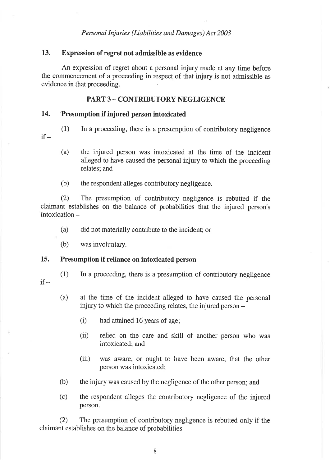#### 13. Expression of regret not admissible as evidence

An expression of regret about a personal injury made at any time before the commencement of a proceeding in respect of that injury is not admissible as evidence in that proceeding.

#### PART 3 - CONTRIBUTORY NEGLIGENCE

#### 14. Presumption if injured person intoxicated

- (1) In a proceeding, there is a presumption of contributory negligence if  $-$ 
	- (a) the injured person was intoxicated at the time of the incident alleged to have caused the personal injury to which the proceeding relates; and
	- (b) the respondent alleges contributory negligence.

(2) The presumption of contributory negligence is rebutted if the claimant establishes on the balance of probabilities that the injured person's  $intoxication -$ 

- (a) did not materially contribute to the incident; or
- (b) was involuntary.

#### 15. Presumption if reliance on intoxicated person

- $if -$
- (1) In a proceeding, there is a presumption of contributory negligence
- 
- (a) at the time of the incident alleged to have caused the personal injury to which the proceeding relates, the injured person -
	- $(i)$  had attained 16 years of age;
	- (ii) relied on the care and skill of another person who was intoxicated; and
	- (iii) was aware, or ought to have been aware, that the other person was intoxicated;
- (b) the injury was caused by the negligence of the other person; and
- (c) the respondent alleges the contributory negligence of the injured person.

(2) The presumption of contributory negligence is rebutted only if the claimant establishes on the balance of probabilities -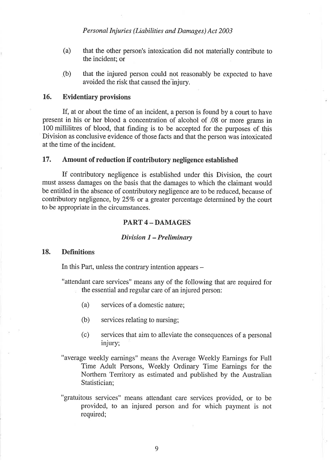- (a) that the other person's intoxication did not materially contribute to the incident; or
- .(b) that the injured person could not reasonably be expected to have avoided the risk that caused the injury.

#### 16. Evidentiary provisions

If, at or about the time of an incident, a person is found by a court to have present in his or her blood a concentration of alcohol of .08 or more grams in 100 milliliffes of blood, that finding is to be accepted for the purposes of this Division as conclusive evidence of those facts and that the person was intoxicated at the time of the incident.

#### 17. Amount of reduction if contributory negligence established

If contributory negligence is established under this Division, the court must assess damages on the basis that the damages to which the claimant would be entitled in the absence of contributory negligence are to be reduced, because of contributory negligence, by 25% or a greater percentage determined by the court to be appropriate in the circumstances.

#### PART 4 - DAMAGES

#### Divisíon I - Prelimínary

#### 18. Definitions

In this Part, unless the contrary intention appears –

"attendant care services" means any of the following that are required for the essential and regular care of an injured person:

- (a) services of a domestic nature;
- (b) services relating to nursing;
- (c) services that aim to alleviate the consequences of a personal injury;
- "average weekly earnings" means the Average Weekly Earnings fo¡ Full Time Adult Persons, Weekly Ordinary Time Earnings for the Northern 'Ierritory as estimated and published by the Australian Statistician;
- "gratuitous services" means attendant care services provided, or to be provided, to an injured person and for which payment is not required;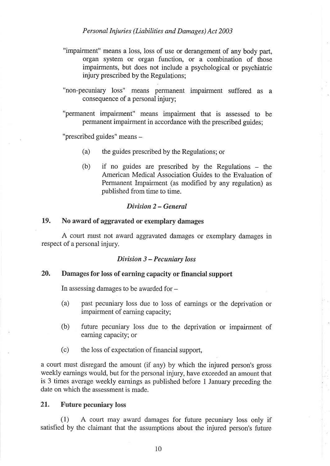- "impairment" means a loss, loss of use or derangement of any body part, organ system or organ function, or a combination of those impairments, but does not include a psychological or psychiatric injury prescribed by the Regulations;
- "non-pecuniary loss" means permanent impairment suffered as <sup>a</sup> consequence of a personal injury;
- "permanent impairment" means impairment that is assessed to be permanent impairment in accordance with the prescribed guides;

"prescribed guides" means -

- (a) the guides prescribed by the Regulations; or
- (b) if no guides are prescribed by the Regulations the American Medical Association Guides to the Evaluation of Permanent Impairment (as modified by any regulation) as published from time to time.

#### Divísion 2 - General

#### 19. No award of aggravated or exemplary damages

A court must not award aggravated damages or exemplary damages in respect of a personal injury.

#### Dívisíon 3 - Pecuniøry loss

#### 20. Damages for loss of earning capacity or financial support

In assessing damages to be awarded for  $-$ 

- (a) past pecuniary loss due to loss of eamings or the deprivation or impairment of earning capacity;
- (b) future pecuniary lôss due to the deprivation or impairment of earning capacity; or
- (c) the loss of expectation of financial support,

a court must disregard the amount (if any) by which the injured person's gross weekly earnings would, but for the personal injury, have exceeded an amount that is 3 times average weekly earnings as published before 1 January preceding the date on which the assessment is made.

#### 21. Future pecuniary loss

(1) A conrt may award damages for future pecuniary loss only if satisfied by the claimant that the assumptions about the injured person's future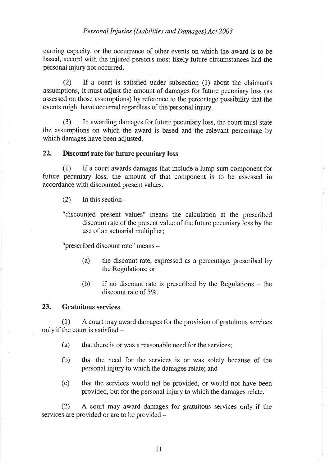earning capacity, or the occurrence of other events on which the award is to be based, accord with the injured person's most likely future circumstances had the personal injury not occurred.

(2) If a court is satisfied under subsection (1) about the claimant's assumptions, it must adjust the amount of damages for future pecuniary loss (as assessed on those assumptions) by reference to the percentage possibility that the events might have occurred regardless of the personal injury.

(3) In awarding damages for future pecuniary loss, the court must state the assumptions on which the award is based and the relevant percentage by which damages have been adjusted.

#### 22. Discount rate for future pecuniary loss

 $(1)$  If a court awards damages that include a lump-sum component for future pecuniary loss, the amount of that component is to be assessed in accordance with discounted present values.

- $(2)$  In this section –
- "discounted present values" means the calculation at the prescribed discount rate of the present value of the future pecuniary loss by the use of an actuarial multiplier;

"prescribed discount rate" means

- (a) the discount rate, expressed as a percentage, prescribed by the Regulations; or
- $(b)$  if no discount rate is prescribed by the Regulations the discount rate of 5%.

#### 23. Gratuitous services

(1) A coutt may award damages for the provision of gratuitous services only if the court is satisfied -

- (a) that there is or was a reasonable need for the services;
- (b) that the need for the services is or was solely because of the personal injury to which the damages relate; and
- (c) that the services would not be provided, or would not have been provided, but for the personal injury to which the damages relate.

(2) A court may award damages for gratuitous services only if the services are provided or are to be provided -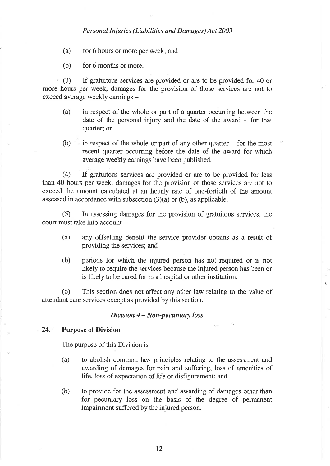- (a) for 6 hours or more per week; and
- (b) for 6 months or more.

(3) If gratuitous services are provided or are to be provided for 40 or more hours per week, damages for the provision of those services are not to exceed average weekly earnings -

- (a) in respect of the whole or part of a quarter occurring between the date of the personal injury and the date of the award – for that quarter; or
- (b) in respect of the whole or part of any other quarter  $-$  for the most recent quarter occurring before the date of the award for which average weekly earnings have been published.

(4) If gratuitous services are provided or are to be provided for less than 40 hours per week, damages for the provision of those services are not to exceed the amount calculated at an hourly rate of one-fortieth of the amount assessed in accordance with subsection (3)(a) or (b), as applicable.

(5) In assessing damages for the provision of gratuitous services, the  $court must take into account -$ 

- (a) any offsetting benefit the service provider obtains as a result of providing the services; an
- (b) periods for which the injured person has not required or is not likely to require the services because the injured person has been or is likely to be cared for in a hospital or other institution.

(6) This section does not affect any other law relating to the value of attendant care services except as provided by this section.

#### Division  $4 - Non-pecuniary loss$

#### 24. Purpose of Division

The purpose of this Division is  $-$ 

- (a) to abolish common law principles relating to the assessment and awarding of damages for pain and suffering, loss of amenities of life, loss of expectation of life or disfigurement; and
- (b) to provide for the assessment and awarding of damages other than for pecuniary loss on the basis of the degree of permanent impairment suffered by the injured person.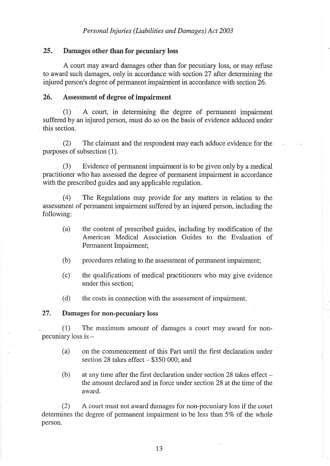#### 25. Damages other than for pecuniary loss

A court may award damages other than for pecuniary loss, or may refuse to award such damages, only in accordance with section 27 after determining the injured person's degree of permanent impairment in accordance with section 26.

#### 26. Assessment of degree of Ímpairment

(1) A court, in determining the degree of permanent impairment suffered by an injured person, must do so on the basis of evidence adduced under this section.

(2) The claimant and the respondent may each adduce evidence for the purposes of subsection (1).

(3) Evidence of permanent impairment is to be given only by a medical practitioner who has assessed the degree of permanent impairment in accordance with the prescribed guides and any applicable regulation.

(4) The Regulations may provide for any matters in relation to the assessment of permanent impairment suffered by an injured person, including the following:

- (a) the content of prescribed guides, including by modification of the American Medical Association Guides to the Evaluation of Permanent Impairment;
- (b) procedures relating to the assessment of permanent impairment;
- (c) the qualifications of medical practitioners who may give evidence under this section;

(d) the costs in connection with the assessment of impairment.

#### 27. Damages for non-pecuniary loss

. (1) The maximum amount of dàmages a court may award for nonpecuniary loss is -

- (a) on the commencement of this Part until the first declaration under section 28 takes effect  $-$  \$350 000; and
- (b) at any time after the first declaration under section 28 takes effect  $$ the amount declared and in force under section 28 at the time of the award.

(2) A court must not award damages for non-pecuniary loss if the court determines the degree of permanent impairment to be less than 5% of the whole person.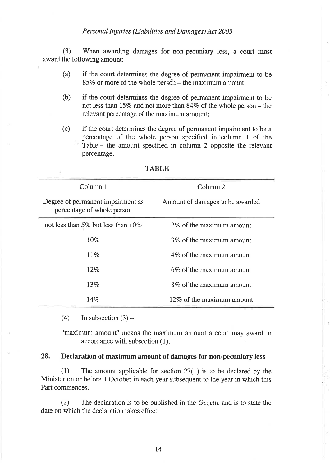(3) When awarding damages for non-pecuniary loss, a court must award the following amount:

- (a) if the court determines the degree of permanent impairment to be 85% or more of the whole person – the maximum amount;
- (b) if the court determines the degree of permanent impairment to be not less than I57o and not more than 847o of the whole person - the relevant percentage of the maximum amount;
- (c) if the court determines the degree of permanent impairment to be <sup>a</sup> percentage of the whole person specified in column 1 of the Table - the amount specified in column 2 opposite the relevant percentage.

| Column 1                                                        | Column <sub>2</sub>             |
|-----------------------------------------------------------------|---------------------------------|
| Degree of permanent impairment as<br>percentage of whole person | Amount of damages to be awarded |
| not less than 5% but less than $10\%$                           | 2\% of the maximum amount       |
| 10%                                                             | 3\% of the maximum amount       |
| $11\%$                                                          | 4% of the maximum amount        |
| 12%                                                             | 6% of the maximum amount        |
| 13%                                                             | 8% of the maximum amount        |
| 14%                                                             | 12\% of the maximum amount      |

**TABLE** 

(4) In subsection  $(3)$  –

"maximum amount" means the maximum amount a court may award in accordance with subsection (1).

#### 28. Declaration of maximum amount of damages for non-pecuniary loss

(1) The amount applicable for section 27(l) is to be declared by the Minister on or before 1 October in each year subsequent to the year in which this Part commences.

(2) The declaration is to be published in the Gazette and is to state the date on which the declaration takes effect.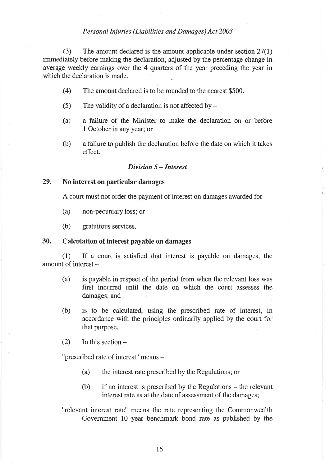(3) The amount declared is the amount applicable under section 27(1) immediately before making the declaration, adjusted by the percentage change in average weekly earnings over the 4 quarters of the year preceding the year in which the declaration is made.

- (4) The amount declared is to be rounded to the nearest \$500.
- (5) The validity of a declaration is not affected by  $-$
- (a) <sup>a</sup>failure of the Minister to make the declaration on or before 1 October in any year; or
- $(b)$  a failure to publish the declaration before the date on which it takes effect.

#### Dívision 5 - Interest

#### 29. No interest on particular damages

A court must not order the payment of interest on damages awarded for -

(a) non-pecuniaryloss;or

(b) gratuitous services.

#### 30. Calculation of interest payable on damages

(1) If a court is satisfied that interest is payable on damages, the amount of interest --

- (a) is payable in respect of the period from when the relevant loss was first incurred until the date on which the court assesses the damages; and
- (b) is to be calculated, using the prescribed rate of interest, in accordance with the principles ordinarily applied by the court for that purpose.
- $(2)$  In this section –

"prescribed rate of interest" means -

- (a) the interest rate prescribed by the Regulations; or
- $(b)$  if no interest is prescribed by the Regulations the relevant interest rate as at the date of assessment of the damages;
- "relevant interest rate" means the rate representing the Commonwealth Government 10 year benchmark bond rate as published by the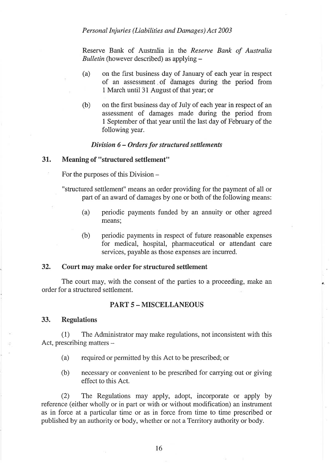Reserve Bank of Australia in the Reserve Bank of Australia Bulletin (however described) as applying  $-$ 

- (a) on the first business day of January of each year in respect of an assessment of damages during the period from 1 March until 31 August of that year; or
- (b) on the first business day of July of each year in respect of an assessment of damages made during the period from 1 September of that year until the last day of February of the following year.

#### Division 6 - Orders for structured settlements

#### 31. Meaning of "structured settlement"

For the purposes of this Division –

"structured settlement" means an order providing for the payment of all or part of an award of damages by one or both of the following means:

- (a) periodic payments funded by an annuity or other agreed means;
- (b) periodic payments in respect of future reasonable expenses for medical, hospital, pharmaceutical or attendant care services, payable as those expenses are incurred.

#### 32. Court may make order for structured settlement

The court may, with the consent of the parties to a proceeding, make an order for a structured settlement.

#### PART 5 - MISCELLANEOUS

#### 33. Regulations

(1) The Administrator may make regulations, not inconsistent with this Act, prescribing matters  $-$ 

- (a) required or permitted by this Act to be prescribed; or
- (b) necessary or convenient to be prescribed for canying out or giving effect to this Act.

(2) The Regulations may apply, adopt, incorporate or apply by reference (either wholly or in part or with or without modification) an instrument as in force at a particular time or as in force from time to time prescribed or published by an authority or body, whether or not a Territory authority or body.